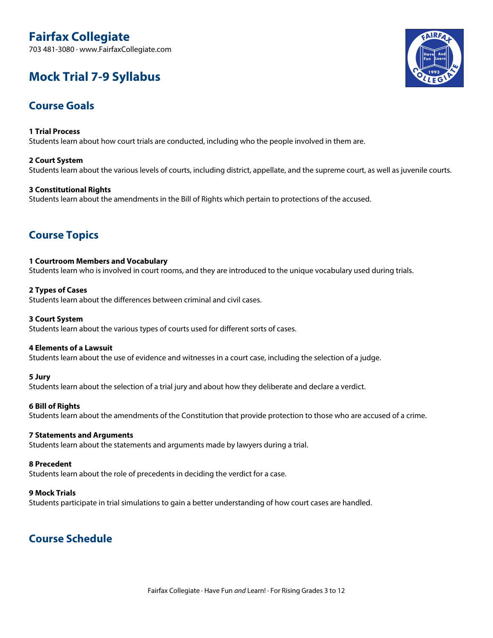# **Fairfax Collegiate**

703 481-3080 · www.FairfaxCollegiate.com

# **Mock Trial 7-9 Syllabus**

## **Course Goals**

**1 Trial Process** Students learn about how court trials are conducted, including who the people involved in them are.

## **2 Court System**

Students learn about the various levels of courts, including district, appellate, and the supreme court, as well as juvenile courts.

## **3 Constitutional Rights**

Students learn about the amendments in the Bill of Rights which pertain to protections of the accused.

## **Course Topics**

#### **1 Courtroom Members and Vocabulary**

Students learn who is involved in court rooms, and they are introduced to the unique vocabulary used during trials.

## **2 Types of Cases**

Students learn about the differences between criminal and civil cases.

## **3 Court System**

Students learn about the various types of courts used for different sorts of cases.

## **4 Elements of a Lawsuit**

Students learn about the use of evidence and witnesses in a court case, including the selection of a judge.

## **5 Jury**

Students learn about the selection of a trial jury and about how they deliberate and declare a verdict.

## **6 Bill of Rights**

Students learn about the amendments of the Constitution that provide protection to those who are accused of a crime.

#### **7 Statements and Arguments**

Students learn about the statements and arguments made by lawyers during a trial.

#### **8 Precedent**

Students learn about the role of precedents in deciding the verdict for a case.

#### **9 Mock Trials**

Students participate in trial simulations to gain a better understanding of how court cases are handled.

## **Course Schedule**

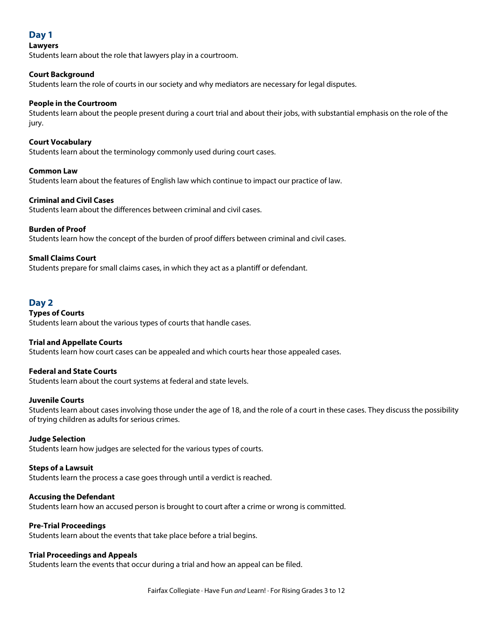## **Day 1**

## **Lawyers**

Students learn about the role that lawyers play in a courtroom.

## **Court Background**

Students learn the role of courts in our society and why mediators are necessary for legal disputes.

## **People in the Courtroom**

Students learn about the people present during a court trial and about their jobs, with substantial emphasis on the role of the jury.

## **Court Vocabulary**

Students learn about the terminology commonly used during court cases.

## **Common Law**

Students learn about the features of English law which continue to impact our practice of law.

## **Criminal and Civil Cases**

Students learn about the differences between criminal and civil cases.

## **Burden of Proof**

Students learn how the concept of the burden of proof differs between criminal and civil cases.

## **Small Claims Court**

Students prepare for small claims cases, in which they act as a plantiff or defendant.

## **Day 2**

## **Types of Courts**

Students learn about the various types of courts that handle cases.

## **Trial and Appellate Courts**

Students learn how court cases can be appealed and which courts hear those appealed cases.

## **Federal and State Courts**

Students learn about the court systems at federal and state levels.

## **Juvenile Courts**

Students learn about cases involving those under the age of 18, and the role of a court in these cases. They discuss the possibility of trying children as adults for serious crimes.

## **Judge Selection**

Students learn how judges are selected for the various types of courts.

## **Steps of a Lawsuit**

Students learn the process a case goes through until a verdict is reached.

## **Accusing the Defendant**

Students learn how an accused person is brought to court after a crime or wrong is committed.

## **Pre-Trial Proceedings**

Students learn about the events that take place before a trial begins.

## **Trial Proceedings and Appeals**

Students learn the events that occur during a trial and how an appeal can be filed.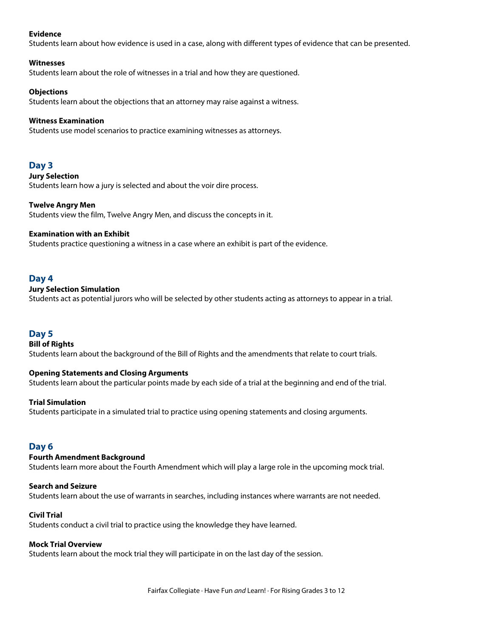## **Evidence**

Students learn about how evidence is used in a case, along with different types of evidence that can be presented.

#### **Witnesses**

Students learn about the role of witnesses in a trial and how they are questioned.

## **Objections**

Students learn about the objections that an attorney may raise against a witness.

#### **Witness Examination**

Students use model scenarios to practice examining witnesses as attorneys.

## **Day 3**

#### **Jury Selection**

Students learn how a jury is selected and about the voir dire process.

## **Twelve Angry Men**

Students view the film, Twelve Angry Men, and discuss the concepts in it.

## **Examination with an Exhibit**

Students practice questioning a witness in a case where an exhibit is part of the evidence.

## **Day 4**

## **Jury Selection Simulation**

Students act as potential jurors who will be selected by other students acting as attorneys to appear in a trial.

## **Day 5**

## **Bill of Rights**

Students learn about the background of the Bill of Rights and the amendments that relate to court trials.

## **Opening Statements and Closing Arguments**

Students learn about the particular points made by each side of a trial at the beginning and end of the trial.

## **Trial Simulation**

Students participate in a simulated trial to practice using opening statements and closing arguments.

## **Day 6**

## **Fourth Amendment Background**

Students learn more about the Fourth Amendment which will play a large role in the upcoming mock trial.

## **Search and Seizure**

Students learn about the use of warrants in searches, including instances where warrants are not needed.

## **Civil Trial**

Students conduct a civil trial to practice using the knowledge they have learned.

## **Mock Trial Overview**

Students learn about the mock trial they will participate in on the last day of the session.